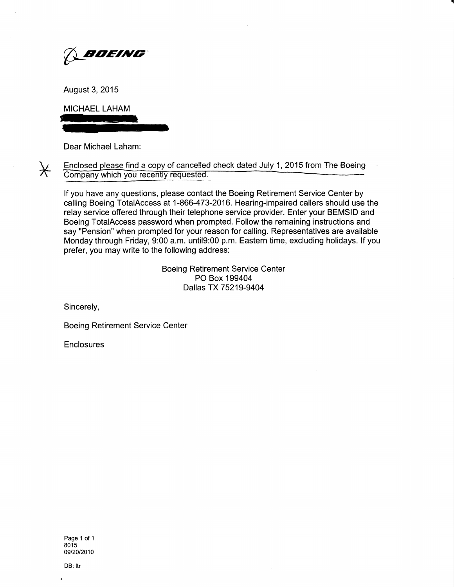

August 3, 2015

MICHAEL LAHAM

Dear Michael Laham:

 $\star$ 

Enclosed please find a copy of cancelled check dated July 1, 2015 from The Boeing<br>Company which you recently requested.

lf you have any questions, please contact the Boeing Retirement Service Center by calling Boeing TotalAccess at 1-866-473-2016. Hearing-impaired callers should use the relay service offered through their telephone service provider. Enter your BEMSID and Boeing TotalAccess password when prompted. Follow the remaining instructions and say "Pension" when prompted for your reason for calling. Representatives are available Monday through Friday, 9:00 a.m. until9:00 p.m. Eastern time, excluding holidays. lf you prefer, you may write to the following address:

> Boeing Retirement Service Center PO Box 199404 Dallas TX75219-9404

Sincerely,

Boeing Retirement Service Center

**Enclosures** 

Page 1 of 1 8015 09/20/2010

DB: Itr